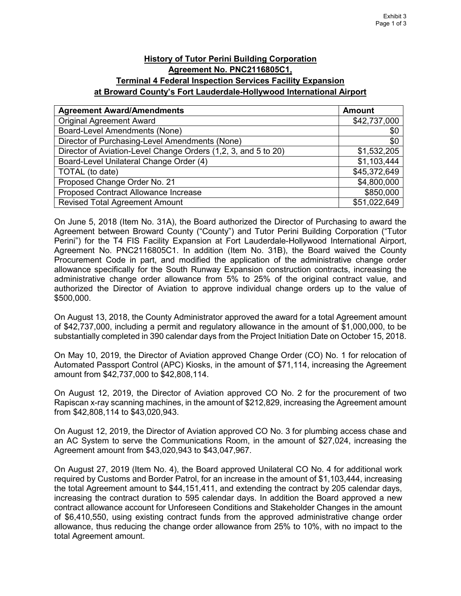## **History of Tutor Perini Building Corporation Agreement No. PNC2116805C1, Terminal 4 Federal Inspection Services Facility Expansion at Broward County's Fort Lauderdale-Hollywood International Airport**

| <b>Agreement Award/Amendments</b>                              | <b>Amount</b> |
|----------------------------------------------------------------|---------------|
| <b>Original Agreement Award</b>                                | \$42,737,000  |
| <b>Board-Level Amendments (None)</b>                           | \$0           |
| Director of Purchasing-Level Amendments (None)                 | \$0           |
| Director of Aviation-Level Change Orders (1,2, 3, and 5 to 20) | \$1,532,205   |
| Board-Level Unilateral Change Order (4)                        | \$1,103,444   |
| TOTAL (to date)                                                | \$45,372,649  |
| Proposed Change Order No. 21                                   | \$4,800,000   |
| Proposed Contract Allowance Increase                           | \$850,000     |
| <b>Revised Total Agreement Amount</b>                          | \$51,022,649  |

On June 5, 2018 (Item No. 31A), the Board authorized the Director of Purchasing to award the Agreement between Broward County ("County") and Tutor Perini Building Corporation ("Tutor Perini") for the T4 FIS Facility Expansion at Fort Lauderdale-Hollywood International Airport, Agreement No. PNC2116805C1. In addition (Item No. 31B), the Board waived the County Procurement Code in part, and modified the application of the administrative change order allowance specifically for the South Runway Expansion construction contracts, increasing the administrative change order allowance from 5% to 25% of the original contract value, and authorized the Director of Aviation to approve individual change orders up to the value of \$500,000.

On August 13, 2018, the County Administrator approved the award for a total Agreement amount of \$42,737,000, including a permit and regulatory allowance in the amount of \$1,000,000, to be substantially completed in 390 calendar days from the Project Initiation Date on October 15, 2018.

On May 10, 2019, the Director of Aviation approved Change Order (CO) No. 1 for relocation of Automated Passport Control (APC) Kiosks, in the amount of \$71,114, increasing the Agreement amount from \$42,737,000 to \$42,808,114.

On August 12, 2019, the Director of Aviation approved CO No. 2 for the procurement of two Rapiscan x-ray scanning machines, in the amount of \$212,829, increasing the Agreement amount from \$42,808,114 to \$43,020,943.

On August 12, 2019, the Director of Aviation approved CO No. 3 for plumbing access chase and an AC System to serve the Communications Room, in the amount of \$27,024, increasing the Agreement amount from \$43,020,943 to \$43,047,967.

On August 27, 2019 (Item No. 4), the Board approved Unilateral CO No. 4 for additional work required by Customs and Border Patrol, for an increase in the amount of \$1,103,444, increasing the total Agreement amount to \$44,151,411, and extending the contract by 205 calendar days, increasing the contract duration to 595 calendar days. In addition the Board approved a new contract allowance account for Unforeseen Conditions and Stakeholder Changes in the amount of \$6,410,550, using existing contract funds from the approved administrative change order allowance, thus reducing the change order allowance from 25% to 10%, with no impact to the total Agreement amount.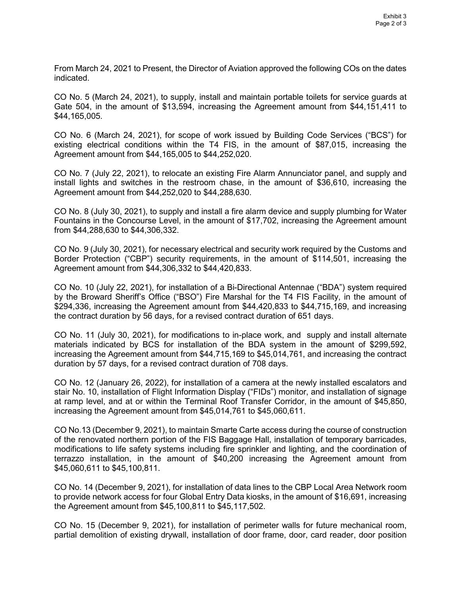From March 24, 2021 to Present, the Director of Aviation approved the following COs on the dates indicated.

CO No. 5 (March 24, 2021), to supply, install and maintain portable toilets for service guards at Gate 504, in the amount of \$13,594, increasing the Agreement amount from \$44,151,411 to \$44,165,005.

CO No. 6 (March 24, 2021), for scope of work issued by Building Code Services ("BCS") for existing electrical conditions within the T4 FIS, in the amount of \$87,015, increasing the Agreement amount from \$44,165,005 to \$44,252,020.

CO No. 7 (July 22, 2021), to relocate an existing Fire Alarm Annunciator panel, and supply and install lights and switches in the restroom chase, in the amount of \$36,610, increasing the Agreement amount from \$44,252,020 to \$44,288,630.

CO No. 8 (July 30, 2021), to supply and install a fire alarm device and supply plumbing for Water Fountains in the Concourse Level, in the amount of \$17,702, increasing the Agreement amount from \$44,288,630 to \$44,306,332.

CO No. 9 (July 30, 2021), for necessary electrical and security work required by the Customs and Border Protection ("CBP") security requirements, in the amount of \$114,501, increasing the Agreement amount from \$44,306,332 to \$44,420,833.

CO No. 10 (July 22, 2021), for installation of a Bi-Directional Antennae ("BDA") system required by the Broward Sheriff's Office ("BSO") Fire Marshal for the T4 FIS Facility, in the amount of \$294,336, increasing the Agreement amount from \$44,420,833 to \$44,715,169, and increasing the contract duration by 56 days, for a revised contract duration of 651 days.

CO No. 11 (July 30, 2021), for modifications to in-place work, and supply and install alternate materials indicated by BCS for installation of the BDA system in the amount of \$299,592, increasing the Agreement amount from \$44,715,169 to \$45,014,761, and increasing the contract duration by 57 days, for a revised contract duration of 708 days.

CO No. 12 (January 26, 2022), for installation of a camera at the newly installed escalators and stair No. 10, installation of Flight Information Display ("FIDs") monitor, and installation of signage at ramp level, and at or within the Terminal Roof Transfer Corridor, in the amount of \$45,850, increasing the Agreement amount from \$45,014,761 to \$45,060,611.

CO No.13 (December 9, 2021), to maintain Smarte Carte access during the course of construction of the renovated northern portion of the FIS Baggage Hall, installation of temporary barricades, modifications to life safety systems including fire sprinkler and lighting, and the coordination of terrazzo installation, in the amount of \$40,200 increasing the Agreement amount from \$45,060,611 to \$45,100,811.

CO No. 14 (December 9, 2021), for installation of data lines to the CBP Local Area Network room to provide network access for four Global Entry Data kiosks, in the amount of \$16,691, increasing the Agreement amount from \$45,100,811 to \$45,117,502.

CO No. 15 (December 9, 2021), for installation of perimeter walls for future mechanical room, partial demolition of existing drywall, installation of door frame, door, card reader, door position